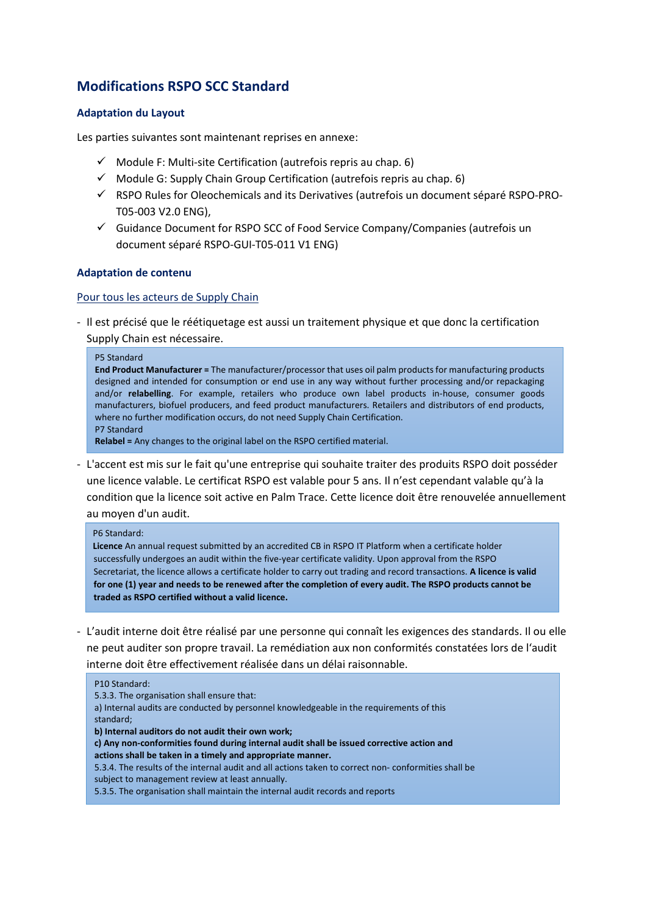## **Modifications RSPO SCC Standard**

## **Adaptation du Layout**

Les parties suivantes sont maintenant reprises en annexe:

- $\checkmark$  Module F: Multi-site Certification (autrefois repris au chap. 6)
- $\checkmark$  Module G: Supply Chain Group Certification (autrefois repris au chap. 6)
- RSPO Rules for Oleochemicals and its Derivatives (autrefois un document séparé RSPO-PRO-T05-003 V2.0 ENG),
- $\checkmark$  Guidance Document for RSPO SCC of Food Service Company/Companies (autrefois un document séparé RSPO-GUI-T05-011 V1 ENG)

## **Adaptation de contenu**

## Pour tous les acteurs de Supply Chain

- Il est précisé que le réétiquetage est aussi un traitement physique et que donc la certification Supply Chain est nécessaire.

#### P5 Standard

**End Product Manufacturer =** The manufacturer/processor that uses oil palm products for manufacturing products designed and intended for consumption or end use in any way without further processing and/or repackaging and/or **relabelling**. For example, retailers who produce own label products in-house, consumer goods manufacturers, biofuel producers, and feed product manufacturers. Retailers and distributors of end products, where no further modification occurs, do not need Supply Chain Certification. P7 Standard

**Relabel =** Any changes to the original label on the RSPO certified material.

- L'accent est mis sur le fait qu'une entreprise qui souhaite traiter des produits RSPO doit posséder une licence valable. Le certificat RSPO est valable pour 5 ans. Il n'est cependant valable qu'à la condition que la licence soit active en Palm Trace. Cette licence doit être renouvelée annuellement au moyen d'un audit.

#### P6 Standard:

**Licence** An annual request submitted by an accredited CB in RSPO IT Platform when a certificate holder successfully undergoes an audit within the five-year certificate validity. Upon approval from the RSPO Secretariat, the licence allows a certificate holder to carry out trading and record transactions. **A licence is valid for one (1) year and needs to be renewed after the completion of every audit. The RSPO products cannot be traded as RSPO certified without a valid licence.**

- L'audit interne doit être réalisé par une personne qui connaît les exigences des standards. Il ou elle ne peut auditer son propre travail. La remédiation aux non conformités constatées lors de l'audit interne doit être effectivement réalisée dans un délai raisonnable.

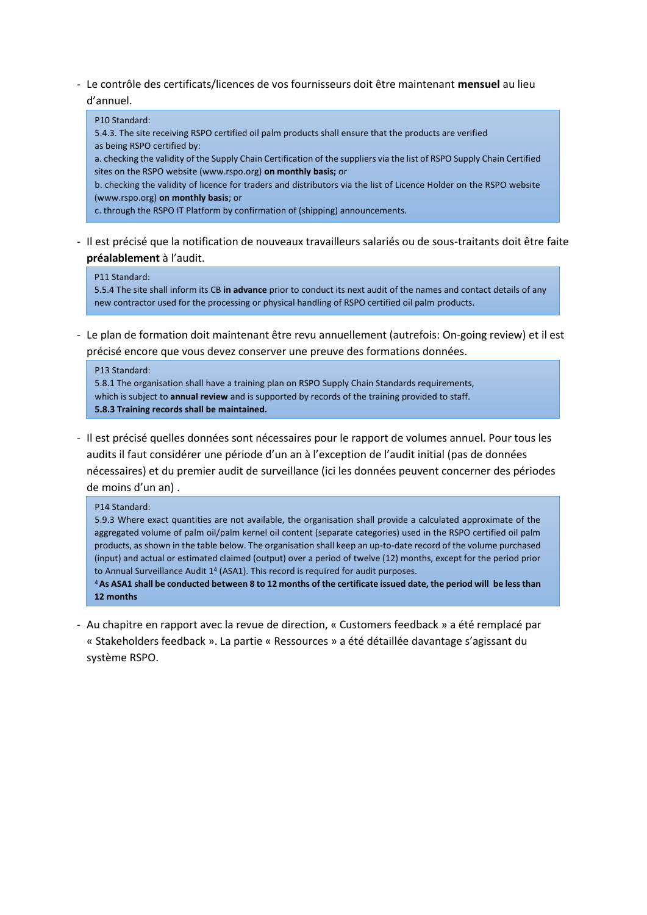- Le contrôle des certificats/licences de vos fournisseurs doit être maintenant **mensuel** au lieu d'annuel.

## P10 Standard:

5.4.3. The site receiving RSPO certified oil palm products shall ensure that the products are verified as being RSPO certified by:

a. checking the validity of the Supply Chain Certification of the suppliers via the list of RSPO Supply Chain Certified sites on the RSPO website (www.rspo.org) **on monthly basis;** or

b. checking the validity of licence for traders and distributors via the list of Licence Holder on the RSPO website (www.rspo.org) **on monthly basis**; or

c. through the RSPO IT Platform by confirmation of (shipping) announcements.

- Il est précisé que la notification de nouveaux travailleurs salariés ou de sous-traitants doit être faite **préalablement** à l'audit.

## P11 Standard:

5.5.4 The site shall inform its CB **in advance** prior to conduct its next audit of the names and contact details of any new contractor used for the processing or physical handling of RSPO certified oil palm products.

- Le plan de formation doit maintenant être revu annuellement (autrefois: On-going review) et il est précisé encore que vous devez conserver une preuve des formations données.

# P13 Standard:

5.8.1 The organisation shall have a training plan on RSPO Supply Chain Standards requirements, which is subject to **annual review** and is supported by records of the training provided to staff. **5.8.3 Training records shall be maintained.**

- Il est précisé quelles données sont nécessaires pour le rapport de volumes annuel. Pour tous les audits il faut considérer une période d'un an à l'exception de l'audit initial (pas de données nécessaires) et du premier audit de surveillance (ici les données peuvent concerner des périodes de moins d'un an) .

## P14 Standard:

5.9.3 Where exact quantities are not available, the organisation shall provide a calculated approximate of the aggregated volume of palm oil/palm kernel oil content (separate categories) used in the RSPO certified oil palm products, as shown in the table below. The organisation shall keep an up-to-date record of the volume purchased (input) and actual or estimated claimed (output) over a period of twelve (12) months, except for the period prior to Annual Surveillance Audit 1<sup>4</sup> (ASA1). This record is required for audit purposes.

<sup>4</sup>**As ASA1 shall be conducted between 8 to 12 months of the certificate issued date, the period will be less than 12 months**

- Au chapitre en rapport avec la revue de direction, « Customers feedback » a été remplacé par « Stakeholders feedback ». La partie « Ressources » a été détaillée davantage s'agissant du système RSPO.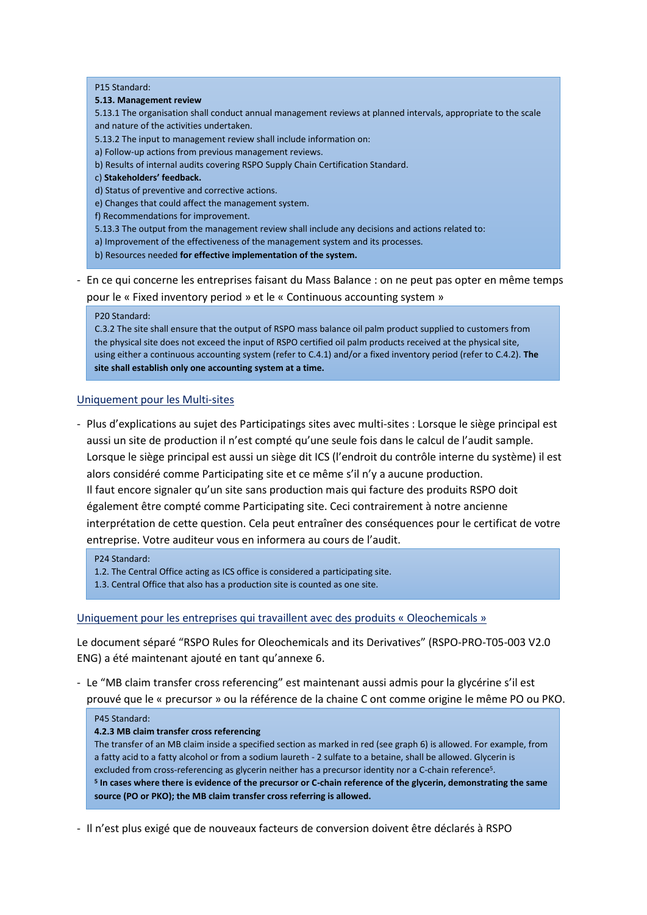#### P15 Standard:

#### **5.13. Management review**

5.13.1 The organisation shall conduct annual management reviews at planned intervals, appropriate to the scale and nature of the activities undertaken.

5.13.2 The input to management review shall include information on:

a) Follow-up actions from previous management reviews.

- b) Results of internal audits covering RSPO Supply Chain Certification Standard.
- c) **Stakeholders' feedback.**
- d) Status of preventive and corrective actions.
- e) Changes that could affect the management system.
- f) Recommendations for improvement.
- 5.13.3 The output from the management review shall include any decisions and actions related to:
- a) Improvement of the effectiveness of the management system and its processes.
- b) Resources needed **for effective implementation of the system.**
- En ce qui concerne les entreprises faisant du Mass Balance : on ne peut pas opter en même temps pour le « Fixed inventory period » et le « Continuous accounting system »

#### P20 Standard:

C.3.2 The site shall ensure that the output of RSPO mass balance oil palm product supplied to customers from the physical site does not exceed the input of RSPO certified oil palm products received at the physical site, using either a continuous accounting system (refer to C.4.1) and/or a fixed inventory period (refer to C.4.2). **The site shall establish only one accounting system at a time.**

## Uniquement pour les Multi-sites

- Plus d'explications au sujet des Participatings sites avec multi-sites : Lorsque le siège principal est aussi un site de production il n'est compté qu'une seule fois dans le calcul de l'audit sample. Lorsque le siège principal est aussi un siège dit ICS (l'endroit du contrôle interne du système) il est alors considéré comme Participating site et ce même s'il n'y a aucune production. Il faut encore signaler qu'un site sans production mais qui facture des produits RSPO doit également être compté comme Participating site. Ceci contrairement à notre ancienne interprétation de cette question. Cela peut entraîner des conséquences pour le certificat de votre entreprise. Votre auditeur vous en informera au cours de l'audit.

P24 Standard:

- 1.2. The Central Office acting as ICS office is considered a participating site.
- 1.3. Central Office that also has a production site is counted as one site.

#### Uniquement pour les entreprises qui travaillent avec des produits « Oleochemicals »

Le document séparé "RSPO Rules for Oleochemicals and its Derivatives" (RSPO-PRO-T05-003 V2.0 ENG) a été maintenant ajouté en tant qu'annexe 6.

- Le "MB claim transfer cross referencing" est maintenant aussi admis pour la glycérine s'il est prouvé que le « precursor » ou la référence de la chaine C ont comme origine le même PO ou PKO.

#### P45 Standard:

#### **4.2.3 MB claim transfer cross referencing**

The transfer of an MB claim inside a specified section as marked in red (see graph 6) is allowed. For example, from a fatty acid to a fatty alcohol or from a sodium laureth - 2 sulfate to a betaine, shall be allowed. Glycerin is excluded from cross-referencing as glycerin neither has a precursor identity nor a C-chain reference<sup>5</sup> . **5 In cases where there is evidence of the precursor or C-chain reference of the glycerin, demonstrating the same source (PO or PKO); the MB claim transfer cross referring is allowed.**

- Il n'est plus exigé que de nouveaux facteurs de conversion doivent être déclarés à RSPO